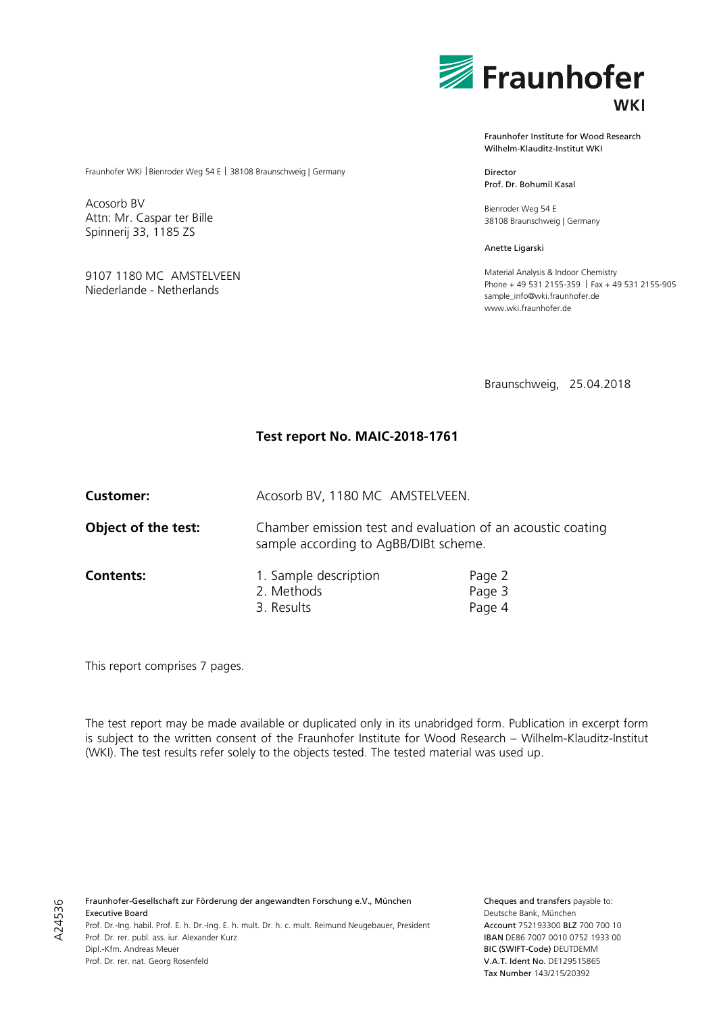

Fraunhofer Institute for Wood Research Wilhelm-Klauditz-Institut WKI

Director Prof. Dr. Bohumil Kasal

Bienroder Weg 54 E 38108 Braunschweig | Germany

Anette Ligarski

Material Analysis & Indoor Chemistry Phone + 49 531 2155-359 | Fax + 49 531 2155-905 sample\_info@wki.fraunhofer.de www.wki.fraunhofer.de

Braunschweig, 25.04.2018

# **Test report No. MAIC-2018-1761**

Acosorb BV

Attn: Mr. Caspar ter Bille Spinnerij 33, 1185 ZS

9107 1180 MC AMSTELVEEN Niederlande - Netherlands

Fraunhofer WKI | Bienroder Weg 54 E | 38108 Braunschweig | Germany

**Customer:** Acosorb BV, 1180 MC AMSTELVEEN.

sample according to AgBB/DIBt scheme.

**Object of the test:** Chamber emission test and evaluation of an acoustic coating

**Contents:** 1. Sample description Page 2 2. Methods Page 3 3. Results Page 4

This report comprises 7 pages.

The test report may be made available or duplicated only in its unabridged form. Publication in excerpt form is subject to the written consent of the Fraunhofer Institute for Wood Research – Wilhelm-Klauditz-Institut (WKI). The test results refer solely to the objects tested. The tested material was used up.

A24536 A24536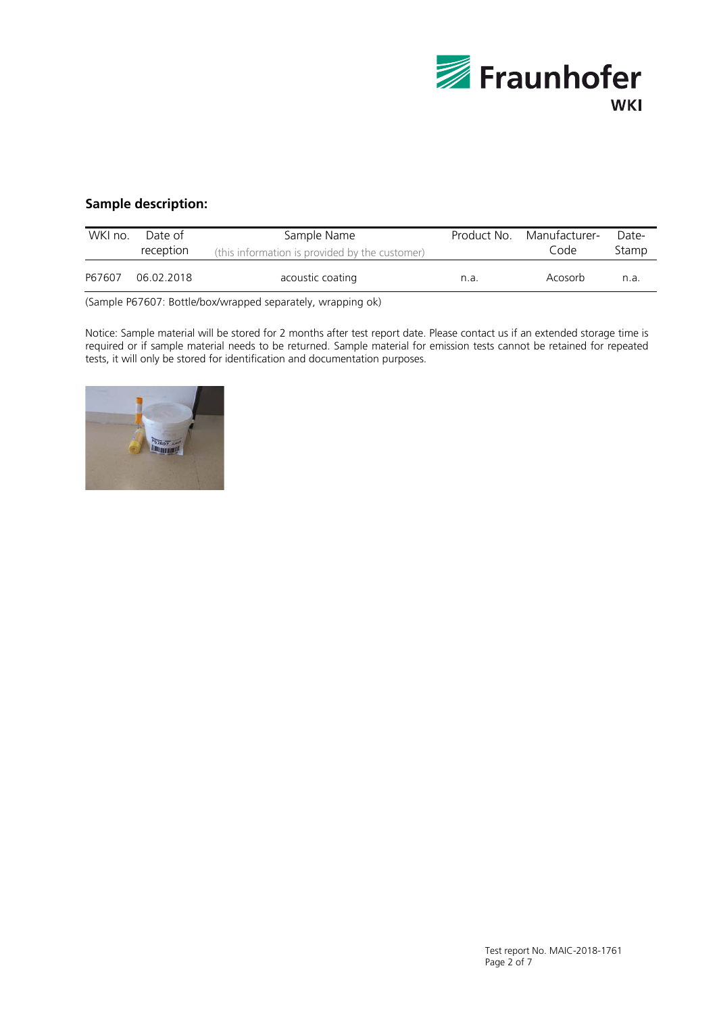

# **Sample description:**

| WKI no. | Date of<br>reception | Sample Name<br>Product No.<br>(this information is provided by the customer) |      | Manufacturer-<br>Code | Date-<br>Stamp |
|---------|----------------------|------------------------------------------------------------------------------|------|-----------------------|----------------|
| P67607  | 06.02.2018           | acoustic coating                                                             | n.a. | Acosorb               | n.a.           |

(Sample P67607: Bottle/box/wrapped separately, wrapping ok)

Notice: Sample material will be stored for 2 months after test report date. Please contact us if an extended storage time is required or if sample material needs to be returned. Sample material for emission tests cannot be retained for repeated tests, it will only be stored for identification and documentation purposes.

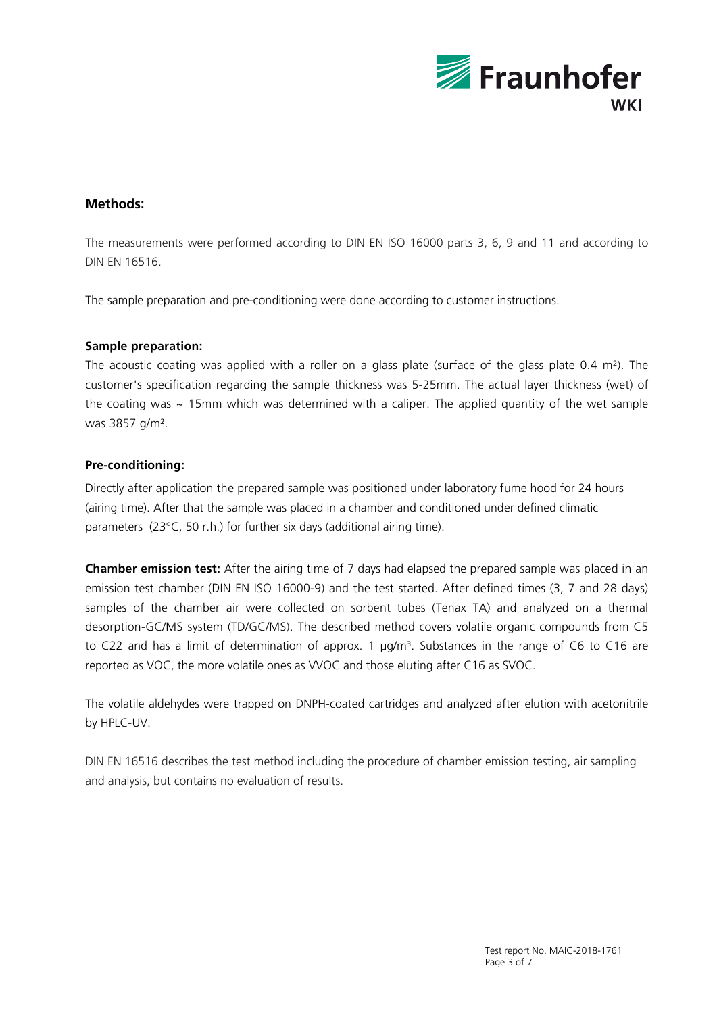

# **Methods:**

The measurements were performed according to DIN EN ISO 16000 parts 3, 6, 9 and 11 and according to DIN EN 16516.

The sample preparation and pre-conditioning were done according to customer instructions.

## **Sample preparation:**

The acoustic coating was applied with a roller on a glass plate (surface of the glass plate 0.4 m²). The customer's specification regarding the sample thickness was 5-25mm. The actual layer thickness (wet) of the coating was  $\sim$  15mm which was determined with a caliper. The applied quantity of the wet sample was 3857 g/m².

## **Pre-conditioning:**

Directly after application the prepared sample was positioned under laboratory fume hood for 24 hours (airing time). After that the sample was placed in a chamber and conditioned under defined climatic parameters (23°C, 50 r.h.) for further six days (additional airing time).

**Chamber emission test:** After the airing time of 7 days had elapsed the prepared sample was placed in an emission test chamber (DIN EN ISO 16000-9) and the test started. After defined times (3, 7 and 28 days) samples of the chamber air were collected on sorbent tubes (Tenax TA) and analyzed on a thermal desorption-GC/MS system (TD/GC/MS). The described method covers volatile organic compounds from C5 to C22 and has a limit of determination of approx. 1  $\mu$ g/m<sup>3</sup>. Substances in the range of C6 to C16 are reported as VOC, the more volatile ones as VVOC and those eluting after C16 as SVOC.

The volatile aldehydes were trapped on DNPH-coated cartridges and analyzed after elution with acetonitrile by HPLC-UV.

DIN EN 16516 describes the test method including the procedure of chamber emission testing, air sampling and analysis, but contains no evaluation of results.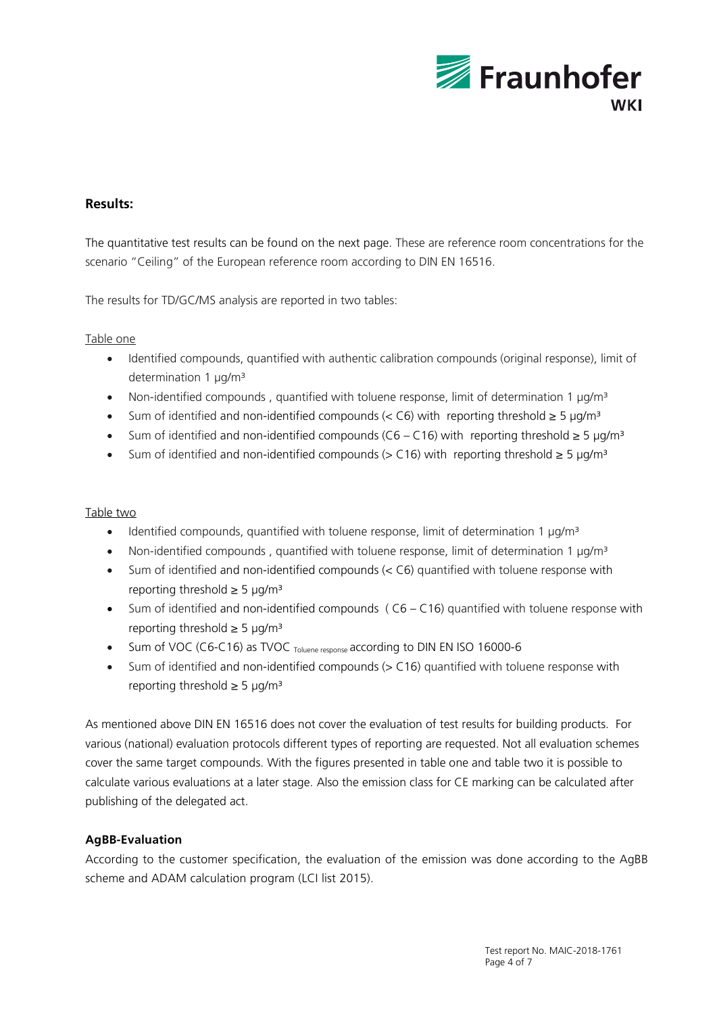

# **Results:**

The quantitative test results can be found on the next page. These are reference room concentrations for the scenario "Ceiling" of the European reference room according to DIN EN 16516.

The results for TD/GC/MS analysis are reported in two tables:

## Table one

- Identified compounds, quantified with authentic calibration compounds (original response), limit of determination 1 µg/m<sup>3</sup>
- Non-identified compounds, quantified with toluene response, limit of determination 1  $\mu$ g/m<sup>3</sup>
- Sum of identified and non-identified compounds (< C6) with reporting threshold  $\geq$  5 µg/m<sup>3</sup>
- Sum of identified and non-identified compounds (C6 C16) with reporting threshold  $\geq 5 \text{ uq/m}^3$
- Sum of identified and non-identified compounds (> C16) with reporting threshold ≥ 5 µg/m³

#### Table two

- Identified compounds, quantified with toluene response, limit of determination 1  $\mu$ g/m<sup>3</sup>
- Non-identified compounds, quantified with toluene response, limit of determination 1  $\mu$ g/m<sup>3</sup>
- Sum of identified and non-identified compounds (< C6) quantified with toluene response with reporting threshold  $\geq$  5 µg/m<sup>3</sup>
- Sum of identified and non-identified compounds (C6 C16) quantified with toluene response with reporting threshold  $\geq$  5 µg/m<sup>3</sup>
- Sum of VOC (C6-C16) as TVOC Toluene response according to DIN EN ISO 16000-6
- Sum of identified and non-identified compounds (> C16) quantified with toluene response with reporting threshold  $\geq$  5 µg/m<sup>3</sup>

As mentioned above DIN EN 16516 does not cover the evaluation of test results for building products. For various (national) evaluation protocols different types of reporting are requested. Not all evaluation schemes cover the same target compounds. With the figures presented in table one and table two it is possible to calculate various evaluations at a later stage. Also the emission class for CE marking can be calculated after publishing of the delegated act.

## **AgBB-Evaluation**

According to the customer specification, the evaluation of the emission was done according to the AgBB scheme and ADAM calculation program (LCI list 2015).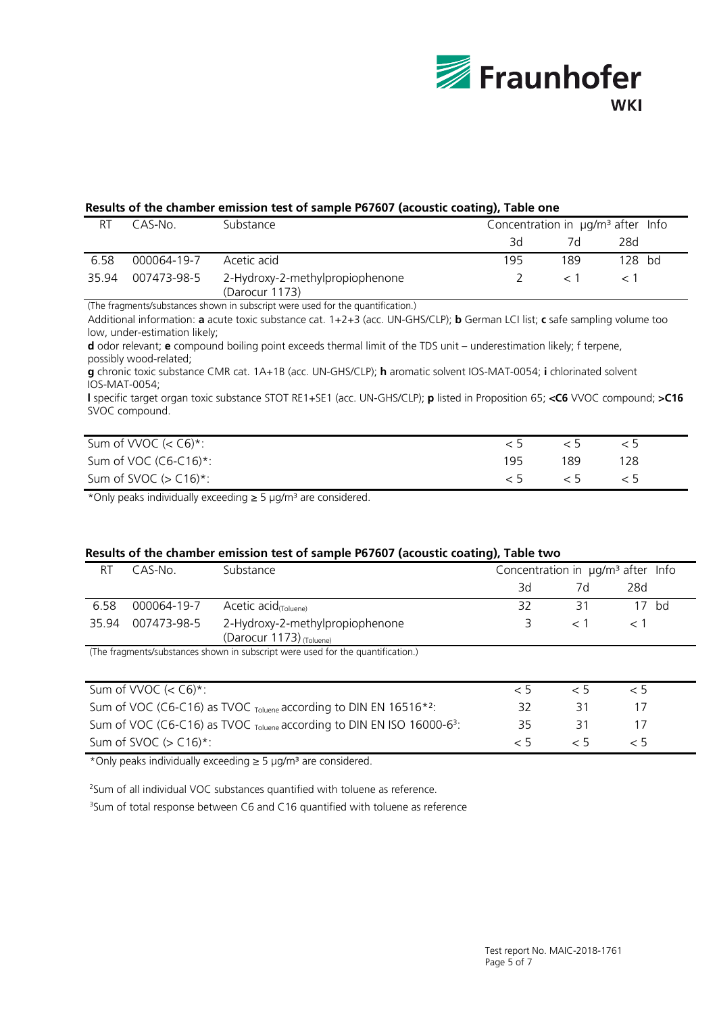

#### **Results of the chamber emission test of sample P67607 (acoustic coating), Table one**

| R1    | CAS-No      | Substance                                         | Concentration in $\mu$ g/m <sup>3</sup> after Info |     |          |  |
|-------|-------------|---------------------------------------------------|----------------------------------------------------|-----|----------|--|
|       |             |                                                   | 3d                                                 | 7d  | 28d      |  |
| 6.58  | 000064-19-7 | Acetic acid                                       | 195                                                | 189 | $128$ bd |  |
| 35.94 | 007473-98-5 | 2-Hydroxy-2-methylpropiophenone<br>(Darocur 1173) |                                                    |     |          |  |

(The fragments/substances shown in subscript were used for the quantification.)

Additional information: **a** acute toxic substance cat. 1+2+3 (acc. UN-GHS/CLP); **b** German LCI list; **c** safe sampling volume too low, under-estimation likely;

**d** odor relevant; **e** compound boiling point exceeds thermal limit of the TDS unit – underestimation likely; f terpene, possibly wood-related;

**g** chronic toxic substance CMR cat. 1A+1B (acc. UN-GHS/CLP); **h** aromatic solvent IOS-MAT-0054; **i** chlorinated solvent IOS-MAT-0054;

**l** specific target organ toxic substance STOT RE1+SE1 (acc. UN-GHS/CLP); **p** listed in Proposition 65; **<C6** VVOC compound; **>C16** SVOC compound.

| Sum of VVOC $(<$ C6) <sup>*</sup> : |     |     |     |  |
|-------------------------------------|-----|-----|-----|--|
| Sum of VOC $(C6-C16)^*$ :           | 195 | 189 | 128 |  |
| Sum of SVOC $(> C16)^*$ :           |     |     |     |  |

\*Only peaks individually exceeding ≥ 5 µg/m³ are considered.

#### **Results of the chamber emission test of sample P67607 (acoustic coating), Table two**

| RT    | CAS-No.     | Substance                                                                       | Concentration in $\mu q/m^3$ after Info |       |         |
|-------|-------------|---------------------------------------------------------------------------------|-----------------------------------------|-------|---------|
|       |             |                                                                                 | Зd                                      | 7d    | 28d     |
| 6.58  | 000064-19-7 | Acetic $acid_{\text{(Toluene)}}$                                                | 32                                      | 31    | $17$ bd |
| 35.94 | 007473-98-5 | 2-Hydroxy-2-methylpropiophenone                                                 |                                         | $<$ 1 |         |
|       |             | (Darocur 1173) (Toluene)                                                        |                                         |       |         |
|       |             | (The fragments/substances shown in subscript were used for the quantification.) |                                         |       |         |
|       |             |                                                                                 |                                         |       |         |
|       |             |                                                                                 |                                         |       |         |

| Sum of VVOC $(<$ C6) <sup>*</sup> :                                                           |    |     |    |  |
|-----------------------------------------------------------------------------------------------|----|-----|----|--|
| Sum of VOC (C6-C16) as TVOC Toluene according to DIN EN 16516*2:                              | 32 | 31  | 1/ |  |
| Sum of VOC (C6-C16) as TVOC <sub>Toluene</sub> according to DIN EN ISO 16000-6 <sup>3</sup> : | マト | -31 | 1/ |  |
| Sum of SVOC $(> C16)^*$ :                                                                     |    |     |    |  |

\*Only peaks individually exceeding ≥ 5 µg/m³ are considered.

<sup>2</sup>Sum of all individual VOC substances quantified with toluene as reference.

<sup>3</sup>Sum of total response between C6 and C16 quantified with toluene as reference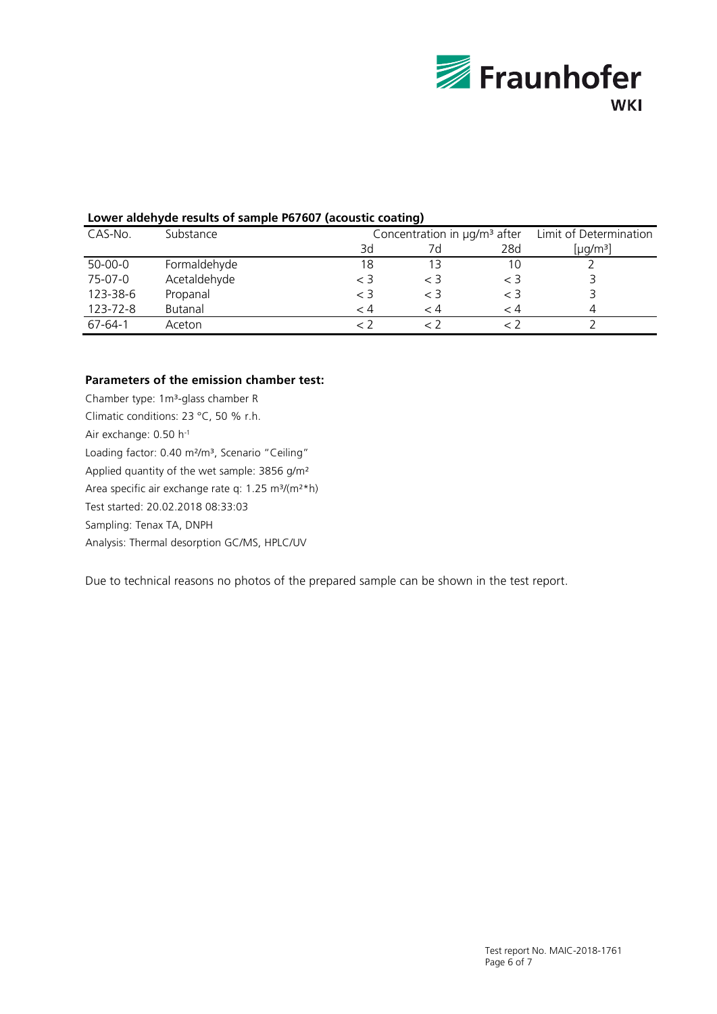

## **Lower aldehyde results of sample P67607 (acoustic coating)**

|           |              |         | --                                                                      |       |                      |  |  |
|-----------|--------------|---------|-------------------------------------------------------------------------|-------|----------------------|--|--|
| CAS-No.   | Substance    |         | Concentration in $\mu$ g/m <sup>3</sup> after<br>Limit of Determination |       |                      |  |  |
|           |              | 3d      | 7d                                                                      | 28d   | [µg/m <sup>3</sup> ] |  |  |
| $50-00-0$ | Formaldehyde | 18      |                                                                         | 10    |                      |  |  |
| 75-07-0   | Acetaldehyde | $\lt$ 3 | $<$ 3                                                                   | $<$ 3 |                      |  |  |
| 123-38-6  | Propanal     | $<$ 3   | $<$ 3                                                                   | $<$ 3 |                      |  |  |
| 123-72-8  | Butanal      | - 4     | - 4                                                                     | - 4   |                      |  |  |
| 67-64-1   | Aceton       |         |                                                                         |       |                      |  |  |

#### **Parameters of the emission chamber test:**

Chamber type: 1m<sup>3</sup>-glass chamber R Climatic conditions: 23 °C, 50 % r.h. Air exchange: 0.50 h-1 Loading factor: 0.40 m<sup>2</sup>/m<sup>3</sup>, Scenario "Ceiling" Applied quantity of the wet sample: 3856 g/m² Area specific air exchange rate q: 1.25 m<sup>3</sup>/(m<sup>2\*</sup>h) Test started: 20.02.2018 08:33:03 Sampling: Tenax TA, DNPH Analysis: Thermal desorption GC/MS, HPLC/UV

Due to technical reasons no photos of the prepared sample can be shown in the test report.